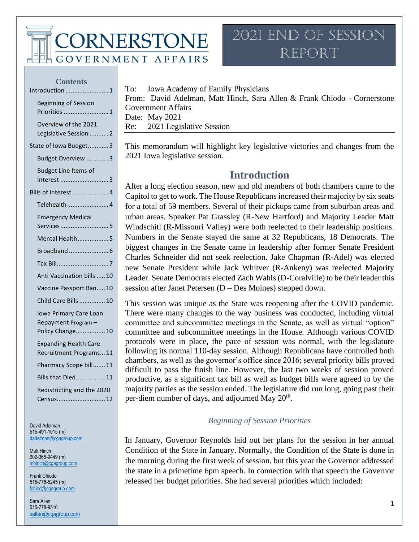CORNERSTONE

**GOVERNMENT AFFAIRS** 

### 2021 End of Session Report

#### **Contents**

| Introduction<br>. 1                                               |
|-------------------------------------------------------------------|
| <b>Beginning of Session</b><br>Priorities  1                      |
| Overview of the 2021<br>Legislative Session  2                    |
| State of Iowa Budget3                                             |
| Budget Overview 3                                                 |
| <b>Budget Line Items of</b><br>Interest 3                         |
| Bills of Interest  4                                              |
| Telehealth 4                                                      |
| <b>Emergency Medical</b><br>Services5                             |
| Mental Health5                                                    |
|                                                                   |
|                                                                   |
| Anti Vaccination bills  10                                        |
| Vaccine Passport Ban 10                                           |
| Child Care Bills  10                                              |
| Iowa Primary Care Loan<br>Repayment Program -<br>Policy Change 10 |
| <b>Expanding Health Care</b><br>Recruitment Programs 11           |
| Pharmacy Scope bill 11                                            |
| Bills that Died 11                                                |
| Redistricting and the 2020<br>$\dots$ 12<br>Census                |

David Adelman 515-491-1015 (m) [dadelman@cgagroup.com](mailto:dadelman@cgagroup.com)

Matt Hinch 202-365-9449 (m) [mhinch@cgagroup.com](mailto:mhinch@cgagroup.com)

Frank Chiodo 515-778-5245 (m) [fchiod@cgagroup.com](mailto:fchiod@cgagroup.com)

Sara Allen 515-778-9516 [sallen@cgagroup.com](mailto:sallen@cgagroup.com) To: Iowa Academy of Family Physicians

From: David Adelman, Matt Hinch, Sara Allen & Frank Chiodo - Cornerstone Government Affairs Date: May 2021 Re: 2021 Legislative Session

<span id="page-0-0"></span>This memorandum will highlight key legislative victories and changes from the 2021 Iowa legislative session.

### **Introduction**

After a long election season, new and old members of both chambers came to the Capitol to get to work. The House Republicans increased their majority by six seats for a total of 59 members. Several of their pickups came from suburban areas and urban areas. Speaker Pat Grassley (R-New Hartford) and Majority Leader Matt Windschitl (R-Missouri Valley) were both reelected to their leadership positions. Numbers in the Senate stayed the same at 32 Republicans, 18 Democrats. The biggest changes in the Senate came in leadership after former Senate President Charles Schneider did not seek reelection. Jake Chapman (R-Adel) was elected new Senate President while Jack Whitver (R-Ankeny) was reelected Majority Leader. Senate Democrats elected Zach Wahls (D-Coralville) to be their leader this session after Janet Petersen (D – Des Moines) stepped down.

This session was unique as the State was reopening after the COVID pandemic. There were many changes to the way business was conducted, including virtual committee and subcommittee meetings in the Senate, as well as virtual "option" committee and subcommittee meetings in the House. Although various COVID protocols were in place, the pace of session was normal, with the legislature following its normal 110-day session. Although Republicans have controlled both chambers, as well as the governor's office since 2016; several priority bills proved difficult to pass the finish line. However, the last two weeks of session proved productive, as a significant tax bill as well as budget bills were agreed to by the majority parties as the session ended. The legislature did run long, going past their per-diem number of days, and adjourned May 20<sup>th</sup>.

#### *Beginning of Session Priorities*

<span id="page-0-1"></span>In January, Governor Reynolds laid out her plans for the session in her annual Condition of the State in January. Normally, the Condition of the State is done in the morning during the first week of session, but this year the Governor addressed the state in a primetime 6pm speech. In connection with that speech the Governor released her budget priorities. She had several priorities which included: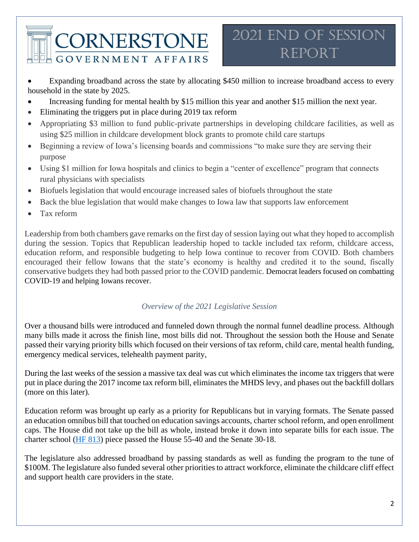Expanding broadband across the state by allocating \$450 million to increase broadband access to every household in the state by 2025.

- Increasing funding for mental health by \$15 million this year and another \$15 million the next year.
- Eliminating the triggers put in place during 2019 tax reform
- Appropriating \$3 million to fund public-private partnerships in developing childcare facilities, as well as using \$25 million in childcare development block grants to promote child care startups
- Beginning a review of Iowa's licensing boards and commissions "to make sure they are serving their purpose
- Using \$1 million for Iowa hospitals and clinics to begin a "center of excellence" program that connects rural physicians with specialists
- Biofuels legislation that would encourage increased sales of biofuels throughout the state
- Back the blue legislation that would make changes to Iowa law that supports law enforcement
- Tax reform

Leadership from both chambers gave remarks on the first day of session laying out what they hoped to accomplish during the session. Topics that Republican leadership hoped to tackle included tax reform, childcare access, education reform, and responsible budgeting to help Iowa continue to recover from COVID. Both chambers encouraged their fellow Iowans that the state's economy is healthy and credited it to the sound, fiscally conservative budgets they had both passed prior to the COVID pandemic. Democrat leaders focused on combatting COVID-19 and helping Iowans recover.

### *Overview of the 2021 Legislative Session*

<span id="page-1-0"></span>Over a thousand bills were introduced and funneled down through the normal funnel deadline process. Although many bills made it across the finish line, most bills did not. Throughout the session both the House and Senate passed their varying priority bills which focused on their versions of tax reform, child care, mental health funding, emergency medical services, telehealth payment parity,

During the last weeks of the session a massive tax deal was cut which eliminates the income tax triggers that were put in place during the 2017 income tax reform bill, eliminates the MHDS levy, and phases out the backfill dollars (more on this later).

Education reform was brought up early as a priority for Republicans but in varying formats. The Senate passed an education omnibus bill that touched on education savings accounts, charter school reform, and open enrollment caps. The House did not take up the bill as whole, instead broke it down into separate bills for each issue. The charter school [\(HF 813\)](https://www.legis.iowa.gov/legislation/BillBook?ga=89&ba=HF813) piece passed the House 55-40 and the Senate 30-18.

The legislature also addressed broadband by passing standards as well as funding the program to the tune of \$100M. The legislature also funded several other priorities to attract workforce, eliminate the childcare cliff effect and support health care providers in the state.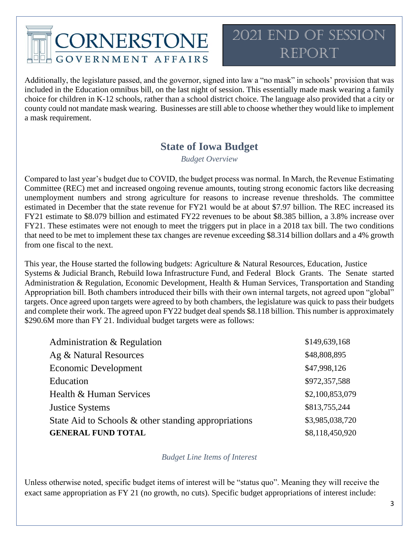### 2021 End of Session REPORT

Additionally, the legislature passed, and the governor, signed into law a "no mask" in schools' provision that was included in the Education omnibus bill, on the last night of session. This essentially made mask wearing a family choice for children in K-12 schools, rather than a school district choice. The language also provided that a city or county could not mandate mask wearing. Businesses are still able to choose whether they would like to implement a mask requirement.

### **State of Iowa Budget**

*Budget Overview*

<span id="page-2-1"></span><span id="page-2-0"></span>Compared to last year's budget due to COVID, the budget process was normal. In March, the Revenue Estimating Committee (REC) met and increased ongoing revenue amounts, touting strong economic factors like decreasing unemployment numbers and strong agriculture for reasons to increase revenue thresholds. The committee estimated in December that the state revenue for FY21 would be at about \$7.97 billion. The REC increased its FY21 estimate to \$8.079 billion and estimated FY22 revenues to be about \$8.385 billion, a 3.8% increase over FY21. These estimates were not enough to meet the triggers put in place in a 2018 tax bill. The two conditions that need to be met to implement these tax changes are revenue exceeding \$8.314 billion dollars and a 4% growth from one fiscal to the next.

This year, the House started the following budgets: Agriculture & Natural Resources, Education, Justice Systems & Judicial Branch, Rebuild Iowa Infrastructure Fund, and Federal Block Grants. The Senate started Administration & Regulation, Economic Development, Health & Human Services, Transportation and Standing Appropriation bill. Both chambers introduced their bills with their own internal targets, not agreed upon "global" targets. Once agreed upon targets were agreed to by both chambers, the legislature was quick to pass their budgets and complete their work. The agreed upon FY22 budget deal spends \$8.118 billion. This number is approximately \$290.6M more than FY 21. Individual budget targets were as follows:

| Administration & Regulation                          | \$149,639,168   |
|------------------------------------------------------|-----------------|
| Ag & Natural Resources                               | \$48,808,895    |
| <b>Economic Development</b>                          | \$47,998,126    |
| Education                                            | \$972,357,588   |
| Health & Human Services                              | \$2,100,853,079 |
| <b>Justice Systems</b>                               | \$813,755,244   |
| State Aid to Schools & other standing appropriations | \$3,985,038,720 |
| <b>GENERAL FUND TOTAL</b>                            | \$8,118,450,920 |

### *Budget Line Items of Interest*

<span id="page-2-2"></span>Unless otherwise noted, specific budget items of interest will be "status quo". Meaning they will receive the exact same appropriation as FY 21 (no growth, no cuts). Specific budget appropriations of interest include: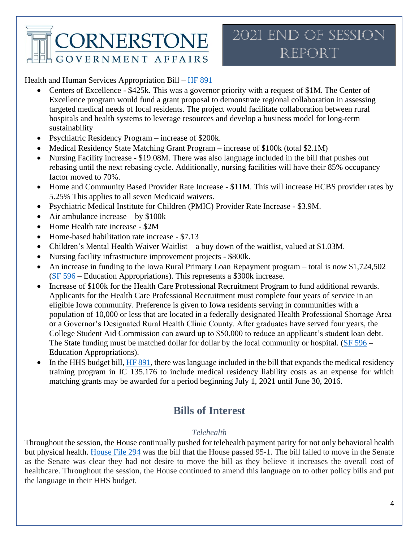Health and Human Services Appropriation Bill – [HF 891](https://www.legis.iowa.gov/legislation/BillBook?ga=89&ba=HF891)

- Centers of Excellence \$425k. This was a governor priority with a request of \$1M. The Center of Excellence program would fund a grant proposal to demonstrate regional collaboration in assessing targeted medical needs of local residents. The project would facilitate collaboration between rural hospitals and health systems to leverage resources and develop a business model for long-term sustainability
- Psychiatric Residency Program increase of \$200k.
- Medical Residency State Matching Grant Program increase of \$100k (total \$2.1M)
- Nursing Facility increase \$19.08M. There was also language included in the bill that pushes out rebasing until the next rebasing cycle. Additionally, nursing facilities will have their 85% occupancy factor moved to 70%.
- Home and Community Based Provider Rate Increase \$11M. This will increase HCBS provider rates by 5.25% This applies to all seven Medicaid waivers.
- Psychiatric Medical Institute for Children (PMIC) Provider Rate Increase \$3.9M.
- Air ambulance increase by \$100k
- Home Health rate increase \$2M
- Home-based habilitation rate increase \$7.13
- Children's Mental Health Waiver Waitlist a buy down of the waitlist, valued at \$1.03M.
- Nursing facility infrastructure improvement projects \$800k.
- An increase in funding to the Iowa Rural Primary Loan Repayment program total is now \$1,724,502 [\(SF 596](https://www.legis.iowa.gov/legislation/BillBook?ba=S3215&ga=89) – Education Appropriations). This represents a \$300k increase.
- Increase of \$100k for the Health Care Professional Recruitment Program to fund additional rewards. Applicants for the Health Care Professional Recruitment must complete four years of service in an eligible Iowa community. Preference is given to Iowa residents serving in communities with a population of 10,000 or less that are located in a federally designated Health Professional Shortage Area or a Governor's Designated Rural Health Clinic County. After graduates have served four years, the College Student Aid Commission can award up to \$50,000 to reduce an applicant's student loan debt. The State funding must be matched dollar for dollar by the local community or hospital. [\(SF 596](https://www.legis.iowa.gov/legislation/BillBook?ba=S3215&ga=89) – Education Appropriations).
- In the HHS budget bill[, HF 891,](https://www.legis.iowa.gov/legislation/BillBook?ga=89&ba=hf891) there was language included in the bill that expands the medical residency training program in IC 135.176 to include medical residency liability costs as an expense for which matching grants may be awarded for a period beginning July 1, 2021 until June 30, 2016.

### **Bills of Interest**

### *Telehealth*

<span id="page-3-1"></span><span id="page-3-0"></span>Throughout the session, the House continually pushed for telehealth payment parity for not only behavioral health but physical health. [House File 294](https://www.legis.iowa.gov/legislation/BillBook?ga=89&ba=hf294) was the bill that the House passed 95-1. The bill failed to move in the Senate as the Senate was clear they had not desire to move the bill as they believe it increases the overall cost of healthcare. Throughout the session, the House continued to amend this language on to other policy bills and put the language in their HHS budget.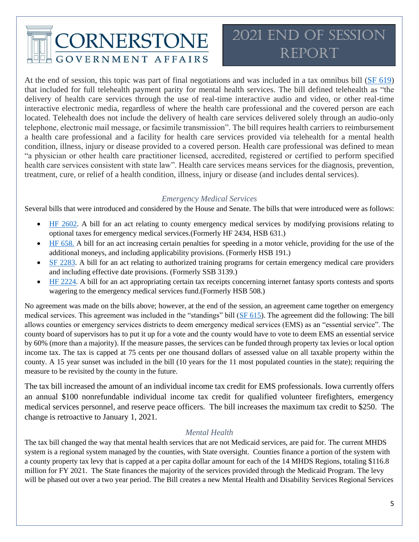## 2021 End of Session REPORT

At the end of session, this topic was part of final negotiations and was included in a tax omnibus bill [\(SF 619\)](https://www.legis.iowa.gov/legislation/BillBook?ga=89&ba=SF619) that included for full telehealth payment parity for mental health services. The bill defined telehealth as "the delivery of health care services through the use of real-time interactive audio and video, or other real-time interactive electronic media, regardless of where the health care professional and the covered person are each located. Telehealth does not include the delivery of health care services delivered solely through an audio-only telephone, electronic mail message, or facsimile transmission". The bill requires health carriers to reimbursement a health care professional and a facility for health care services provided via telehealth for a mental health condition, illness, injury or disease provided to a covered person. Health care professional was defined to mean "a physician or other health care practitioner licensed, accredited, registered or certified to perform specified health care services consistent with state law". Health care services means services for the diagnosis, prevention, treatment, cure, or relief of a health condition, illness, injury or disease (and includes dental services).

### *Emergency Medical Services*

<span id="page-4-0"></span>Several bills that were introduced and considered by the House and Senate. The bills that were introduced were as follows:

- [HF 2602.](https://www.legis.iowa.gov/legislation/BillBook?ga=88&ba=hf2602) A bill for an act relating to county emergency medical services by modifying provisions relating to optional taxes for emergency medical services.(Formerly HF 2434, HSB 631.)
- [HF 658.](https://www.legis.iowa.gov/legislation/BillBook?ga=88&ba=hf658) A bill for an act increasing certain penalties for speeding in a motor vehicle, providing for the use of the additional moneys, and including applicability provisions. (Formerly HSB 191.)
- [SF 2283.](https://www.legis.iowa.gov/legislation/BillBook?ga=88&ba=sf2283) A bill for an act relating to authorized training programs for certain emergency medical care providers and including effective date provisions. (Formerly SSB 3139.)
- [HF 2224.](https://www.legis.iowa.gov/legislation/BillBook?ga=88&ba=hf2224) A bill for an act appropriating certain tax receipts concerning internet fantasy sports contests and sports wagering to the emergency medical services fund.(Formerly HSB 508.)

No agreement was made on the bills above; however, at the end of the session, an agreement came together on emergency medical services. This agreement was included in the "standings" bill [\(SF 615\)](https://www.legis.iowa.gov/legislation/BillBook?ba=S3245&ga=89). The agreement did the following: The bill allows counties or emergency services districts to deem emergency medical services (EMS) as an "essential service". The county board of supervisors has to put it up for a vote and the county would have to vote to deem EMS an essential service by 60% (more than a majority). If the measure passes, the services can be funded through property tax levies or local option income tax. The tax is capped at 75 cents per one thousand dollars of assessed value on all taxable property within the county. A 15 year sunset was included in the bill (10 years for the 11 most populated counties in the state); requiring the measure to be revisited by the county in the future.

The tax bill increased the amount of an individual income tax credit for EMS professionals. Iowa currently offers an annual \$100 nonrefundable individual income tax credit for qualified volunteer firefighters, emergency medical services personnel, and reserve peace officers. The bill increases the maximum tax credit to \$250. The change is retroactive to January 1, 2021.

#### *Mental Health*

<span id="page-4-1"></span>The tax bill changed the way that mental health services that are not Medicaid services, are paid for. The current MHDS system is a regional system managed by the counties, with State oversight. Counties finance a portion of the system with a county property tax levy that is capped at a per capita dollar amount for each of the 14 MHDS Regions, totaling \$116.8 million for FY 2021. The State finances the majority of the services provided through the Medicaid Program. The levy will be phased out over a two year period. The Bill creates a new Mental Health and Disability Services Regional Services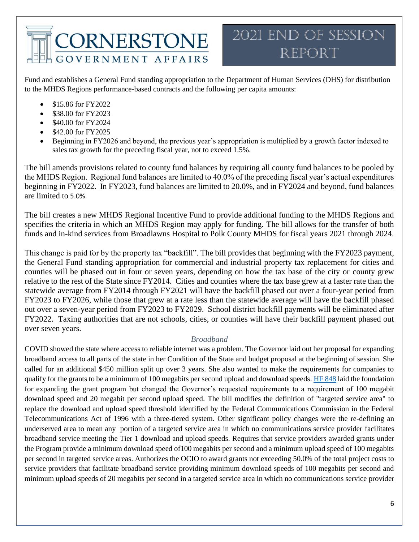

Fund and establishes a General Fund standing appropriation to the Department of Human Services (DHS) for distribution to the MHDS Regions performance-based contracts and the following per capita amounts:

- \$15.86 for FY2022
- \$38.00 for FY2023
- \$40.00 for FY2024
- \$42.00 for FY2025
- Beginning in FY2026 and beyond, the previous year's appropriation is multiplied by a growth factor indexed to sales tax growth for the preceding fiscal year, not to exceed 1.5%.

The bill amends provisions related to county fund balances by requiring all county fund balances to be pooled by the MHDS Region. Regional fund balances are limited to 40.0% of the preceding fiscal year's actual expenditures beginning in FY2022. In FY2023, fund balances are limited to 20.0%, and in FY2024 and beyond, fund balances are limited to 5.0%.

The bill creates a new MHDS Regional Incentive Fund to provide additional funding to the MHDS Regions and specifies the criteria in which an MHDS Region may apply for funding. The bill allows for the transfer of both funds and in-kind services from Broadlawns Hospital to Polk County MHDS for fiscal years 2021 through 2024.

This change is paid for by the property tax "backfill". The bill provides that beginning with the FY2023 payment, the General Fund standing appropriation for commercial and industrial property tax replacement for cities and counties will be phased out in four or seven years, depending on how the tax base of the city or county grew relative to the rest of the State since FY2014. Cities and counties where the tax base grew at a faster rate than the statewide average from FY2014 through FY2021 will have the backfill phased out over a four-year period from FY2023 to FY2026, while those that grew at a rate less than the statewide average will have the backfill phased out over a seven-year period from FY2023 to FY2029. School district backfill payments will be eliminated after FY2022. Taxing authorities that are not schools, cities, or counties will have their backfill payment phased out over seven years.

### *Broadband*

<span id="page-5-0"></span>COVID showed the state where access to reliable internet was a problem. The Governor laid out her proposal for expanding broadband access to all parts of the state in her Condition of the State and budget proposal at the beginning of session. She called for an additional \$450 million split up over 3 years. She also wanted to make the requirements for companies to qualify for the grants to be a minimum of 100 megabits per second upload and download speeds[. HF 848](https://www.legis.iowa.gov/legislation/BillBook?ga=89&ba=hf848) laid the foundation for expanding the grant program but changed the Governor's requested requirements to a requirement of 100 megabit download speed and 20 megabit per second upload speed. The bill modifies the definition of "targeted service area" to replace the download and upload speed threshold identified by the Federal Communications Commission in the Federal Telecommunications Act of 1996 with a three-tiered system. Other significant policy changes were the re-defining an underserved area to mean any portion of a targeted service area in which no communications service provider facilitates broadband service meeting the Tier 1 download and upload speeds. Requires that service providers awarded grants under the Program provide a minimum download speed of100 megabits per second and a minimum upload speed of 100 megabits per second in targeted service areas. Authorizes the OCIO to award grants not exceeding 50.0% of the total project costs to service providers that facilitate broadband service providing minimum download speeds of 100 megabits per second and minimum upload speeds of 20 megabits per second in a targeted service area in which no communications service provider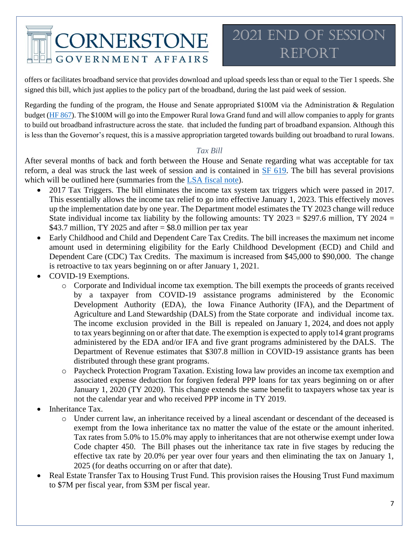### 2021 End of Session REPORT.

offers or facilitates broadband service that provides download and upload speeds less than or equal to the Tier 1 speeds. She signed this bill, which just applies to the policy part of the broadband, during the last paid week of session.

Regarding the funding of the program, the House and Senate appropriated \$100M via the Administration & Regulation budget [\(HF 867\)](https://www.legis.iowa.gov/legislation/BillBook?ga=89&ba=hf867). The \$100M will go into the Empower Rural Iowa Grand fund and will allow companies to apply for grants to build out broadband infrastructure across the state. that included the funding part of broadband expansion. Although this is less than the Governor's request, this is a massive appropriation targeted towards building out broadband to rural Iowans.

### *Tax Bill*

<span id="page-6-0"></span>After several months of back and forth between the House and Senate regarding what was acceptable for tax reform, a deal was struck the last week of session and is contained in [SF 619.](https://www.legis.iowa.gov/legislation/BillBook?ga=89&ba=SF619) The bill has several provisions which will be outlined here (summaries from the [LSA fiscal note\)](https://www.legis.iowa.gov/docs/publications/FN/1221012.pdf).

- 2017 Tax Triggers. The bill eliminates the income tax system tax triggers which were passed in 2017. This essentially allows the income tax relief to go into effective January 1, 2023. This effectively moves up the implementation date by one year. The Department model estimates the TY 2023 change will reduce State individual income tax liability by the following amounts: TY 2023 = \$297.6 million, TY 2024 = \$43.7 million, TY 2025 and after  $=$  \$8.0 million per tax year
- Early Childhood and Child and Dependent Care Tax Credits. The bill increases the maximum net income amount used in determining eligibility for the Early Childhood Development (ECD) and Child and Dependent Care (CDC) Tax Credits. The maximum is increased from \$45,000 to \$90,000. The change is retroactive to tax years beginning on or after January 1, 2021.
- COVID-19 Exemptions.
	- o Corporate and Individual income tax exemption. The bill exempts the proceeds of grants received by a taxpayer from COVID-19 assistance programs administered by the Economic Development Authority (EDA), the Iowa Finance Authority (IFA), and the Department of Agriculture and Land Stewardship (DALS) from the State corporate and individual income tax. The income exclusion provided in the Bill is repealed on January 1, 2024, and does not apply to tax years beginning on or after that date. The exemption is expected to apply to14 grant programs administered by the EDA and/or IFA and five grant programs administered by the DALS. The Department of Revenue estimates that \$307.8 million in COVID-19 assistance grants has been distributed through these grant programs.
	- o Paycheck Protection Program Taxation. Existing Iowa law provides an income tax exemption and associated expense deduction for forgiven federal PPP loans for tax years beginning on or after January 1, 2020 (TY 2020). This change extends the same benefit to taxpayers whose tax year is not the calendar year and who received PPP income in TY 2019.
- Inheritance Tax.
	- o Under current law, an inheritance received by a lineal ascendant or descendant of the deceased is exempt from the Iowa inheritance tax no matter the value of the estate or the amount inherited. Tax rates from 5.0% to 15.0% may apply to inheritances that are not otherwise exempt under Iowa Code chapter 450. The Bill phases out the inheritance tax rate in five stages by reducing the effective tax rate by 20.0% per year over four years and then eliminating the tax on January 1, 2025 (for deaths occurring on or after that date).
- Real Estate Transfer Tax to Housing Trust Fund. This provision raises the Housing Trust Fund maximum to \$7M per fiscal year, from \$3M per fiscal year.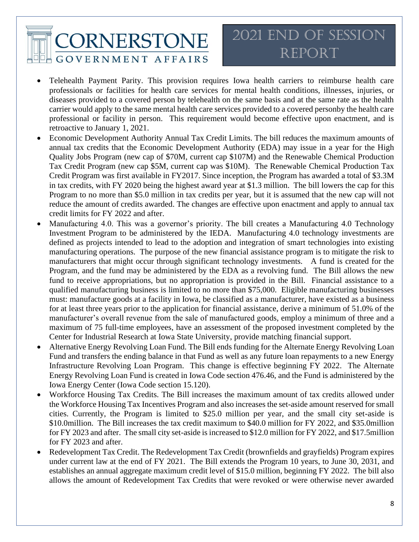## 2021 End of Session REPORT

- Telehealth Payment Parity. This provision requires Iowa health carriers to reimburse health care professionals or facilities for health care services for mental health conditions, illnesses, injuries, or diseases provided to a covered person by telehealth on the same basis and at the same rate as the health carrier would apply to the same mental health care services provided to a covered personby the health care professional or facility in person. This requirement would become effective upon enactment, and is retroactive to January 1, 2021.
- Economic Development Authority Annual Tax Credit Limits. The bill reduces the maximum amounts of annual tax credits that the Economic Development Authority (EDA) may issue in a year for the High Quality Jobs Program (new cap of \$70M, current cap \$107M) and the Renewable Chemical Production Tax Credit Program (new cap \$5M, current cap was \$10M). The Renewable Chemical Production Tax Credit Program was first available in FY2017. Since inception, the Program has awarded a total of \$3.3M in tax credits, with FY 2020 being the highest award year at \$1.3 million. The bill lowers the cap for this Program to no more than \$5.0 million in tax credits per year, but it is assumed that the new cap will not reduce the amount of credits awarded. The changes are effective upon enactment and apply to annual tax credit limits for FY 2022 and after.
- Manufacturing 4.0. This was a governor's priority. The bill creates a Manufacturing 4.0 Technology Investment Program to be administered by the IEDA. Manufacturing 4.0 technology investments are defined as projects intended to lead to the adoption and integration of smart technologies into existing manufacturing operations. The purpose of the new financial assistance program is to mitigate the risk to manufacturers that might occur through significant technology investments. A fund is created for the Program, and the fund may be administered by the EDA as a revolving fund. The Bill allows the new fund to receive appropriations, but no appropriation is provided in the Bill. Financial assistance to a qualified manufacturing business is limited to no more than \$75,000. Eligible manufacturing businesses must: manufacture goods at a facility in Iowa, be classified as a manufacturer, have existed as a business for at least three years prior to the application for financial assistance, derive a minimum of 51.0% of the manufacturer's overall revenue from the sale of manufactured goods, employ a minimum of three and a maximum of 75 full-time employees, have an assessment of the proposed investment completed by the Center for Industrial Research at Iowa State University, provide matching financial support.
- Alternative Energy Revolving Loan Fund. The Bill ends funding for the Alternate Energy Revolving Loan Fund and transfers the ending balance in that Fund as well as any future loan repayments to a new Energy Infrastructure Revolving Loan Program. This change is effective beginning FY 2022. The Alternate Energy Revolving Loan Fund is created in Iowa Code section 476.46, and the Fund is administered by the Iowa Energy Center (Iowa Code section 15.120).
- Workforce Housing Tax Credits. The Bill increases the maximum amount of tax credits allowed under the Workforce Housing Tax Incentives Program and also increases the set-aside amount reserved for small cities. Currently, the Program is limited to \$25.0 million per year, and the small city set-aside is \$10.0million. The Bill increases the tax credit maximum to \$40.0 million for FY 2022, and \$35.0million for FY 2023 and after. The small city set-aside is increased to \$12.0 million for FY 2022, and \$17.5million for FY 2023 and after.
- Redevelopment Tax Credit. The Redevelopment Tax Credit (brownfields and grayfields) Program expires under current law at the end of FY 2021. The Bill extends the Program 10 years, to June 30, 2031, and establishes an annual aggregate maximum credit level of \$15.0 million, beginning FY 2022. The bill also allows the amount of Redevelopment Tax Credits that were revoked or were otherwise never awarded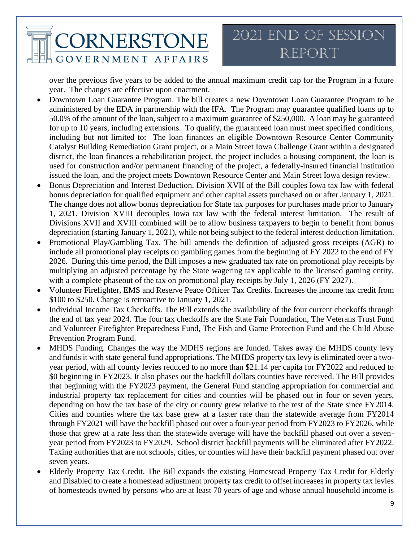## 2021 End of Session Report

over the previous five years to be added to the annual maximum credit cap for the Program in a future year. The changes are effective upon enactment.

- Downtown Loan Guarantee Program. The bill creates a new Downtown Loan Guarantee Program to be administered by the EDA in partnership with the IFA. The Program may guarantee qualified loans up to 50.0% of the amount of the loan, subject to a maximum guarantee of \$250,000. A loan may be guaranteed for up to 10 years, including extensions. To qualify, the guaranteed loan must meet specified conditions, including but not limited to: The loan finances an eligible Downtown Resource Center Community Catalyst Building Remediation Grant project, or a Main Street Iowa Challenge Grant within a designated district, the loan finances a rehabilitation project, the project includes a housing component, the loan is used for construction and/or permanent financing of the project, a federally-insured financial institution issued the loan, and the project meets Downtown Resource Center and Main Street Iowa design review.
- Bonus Depreciation and Interest Deduction. Division XVII of the Bill couples Iowa tax law with federal bonus depreciation for qualified equipment and other capital assets purchased on or after January 1, 2021. The change does not allow bonus depreciation for State tax purposes for purchases made prior to January 1, 2021. Division XVIII decouples Iowa tax law with the federal interest limitation. The result of Divisions XVII and XVIII combined will be to allow business taxpayers to begin to benefit from bonus depreciation (starting January 1, 2021), while not being subject to the federal interest deduction limitation.
- Promotional Play/Gambling Tax. The bill amends the definition of adjusted gross receipts (AGR) to include all promotional play receipts on gambling games from the beginning of FY 2022 to the end of FY 2026. During this time period, the Bill imposes a new graduated tax rate on promotional play receipts by multiplying an adjusted percentage by the State wagering tax applicable to the licensed gaming entity, with a complete phaseout of the tax on promotional play receipts by July 1, 2026 (FY 2027).
- Volunteer Firefighter, EMS and Reserve Peace Officer Tax Credits. Increases the income tax credit from \$100 to \$250. Change is retroactive to January 1, 2021.
- Individual Income Tax Checkoffs. The Bill extends the availability of the four current checkoffs through the end of tax year 2024. The four tax checkoffs are the State Fair Foundation, The Veterans Trust Fund and Volunteer Firefighter Preparedness Fund, The Fish and Game Protection Fund and the Child Abuse Prevention Program Fund.
- MHDS Funding. Changes the way the MDHS regions are funded. Takes away the MHDS county levy and funds it with state general fund appropriations. The MHDS property tax levy is eliminated over a twoyear period, with all county levies reduced to no more than \$21.14 per capita for FY2022 and reduced to \$0 beginning in FY2023. It also phases out the backfill dollars counties have received. The Bill provides that beginning with the FY2023 payment, the General Fund standing appropriation for commercial and industrial property tax replacement for cities and counties will be phased out in four or seven years, depending on how the tax base of the city or county grew relative to the rest of the State since FY2014. Cities and counties where the tax base grew at a faster rate than the statewide average from FY2014 through FY2021 will have the backfill phased out over a four-year period from FY2023 to FY2026, while those that grew at a rate less than the statewide average will have the backfill phased out over a sevenyear period from FY2023 to FY2029. School district backfill payments will be eliminated after FY2022. Taxing authorities that are not schools, cities, or counties will have their backfill payment phased out over seven years.
- Elderly Property Tax Credit. The Bill expands the existing Homestead Property Tax Credit for Elderly and Disabled to create a homestead adjustment property tax credit to offset increases in property tax levies of homesteads owned by persons who are at least 70 years of age and whose annual household income is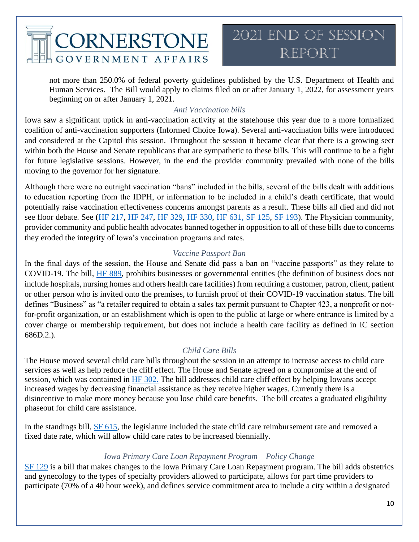

not more than 250.0% of federal poverty guidelines published by the U.S. Department of Health and Human Services. The Bill would apply to claims filed on or after January 1, 2022, for assessment years beginning on or after January 1, 2021.

### *Anti Vaccination bills*

<span id="page-9-0"></span>Iowa saw a significant uptick in anti-vaccination activity at the statehouse this year due to a more formalized coalition of anti-vaccination supporters (Informed Choice Iowa). Several anti-vaccination bills were introduced and considered at the Capitol this session. Throughout the session it became clear that there is a growing sect within both the House and Senate republicans that are sympathetic to these bills. This will continue to be a fight for future legislative sessions. However, in the end the provider community prevailed with none of the bills moving to the governor for her signature.

Although there were no outright vaccination "bans" included in the bills, several of the bills dealt with additions to education reporting from the IDPH, or information to be included in a child's death certificate, that would potentially raise vaccination effectiveness concerns amongst parents as a result. These bills all died and did not see floor debate. See [\(HF 217,](https://www.legis.iowa.gov/legislation/BillBook?ba=HF217&ga=89) [HF 247,](https://www.legis.iowa.gov/legislation/BillBook?ba=HF247&ga=89) [HF 329,](https://www.legis.iowa.gov/legislation/BillBook?ba=HF329&ga=89) HF [330,](https://www.legis.iowa.gov/legislation/BillBook?ba=HF330&ga=89) [HF 631,](https://www.legis.iowa.gov/legislation/BillBook?ba=HF631&ga=89%20%20) [SF 125,](https://www.legis.iowa.gov/legislation/BillBook?ba=SF125&ga=89) [SF 193\)](https://www.legis.iowa.gov/legislation/BillBook?ba=SF%20193&ga=89). The Physician community, provider community and public health advocates banned together in opposition to all of these bills due to concerns they eroded the integrity of Iowa's vaccination programs and rates.

### *Vaccine Passport Ban*

<span id="page-9-1"></span>In the final days of the session, the House and Senate did pass a ban on "vaccine passports" as they relate to COVID-19. The bill, [HF 889,](https://www.legis.iowa.gov/legislation/BillBook?ga=89&ba=HF889) prohibits businesses or governmental entities (the definition of business does not include hospitals, nursing homes and others health care facilities) from requiring a customer, patron, client, patient or other person who is invited onto the premises, to furnish proof of their COVID-19 vaccination status. The bill defines "Business" as "a retailer required to obtain a sales tax permit pursuant to Chapter 423, a nonprofit or notfor-profit organization, or an establishment which is open to the public at large or where entrance is limited by a cover charge or membership requirement, but does not include a health care facility as defined in IC section 686D.2.).

### *Child Care Bills*

<span id="page-9-2"></span>The House moved several child care bills throughout the session in an attempt to increase access to child care services as well as help reduce the cliff effect. The House and Senate agreed on a compromise at the end of session, which was contained in [HF 302.](https://www.legis.iowa.gov/legislation/BillBook?ga=89&ba=HF302) The bill addresses child care cliff effect by helping Iowans accept increased wages by decreasing financial assistance as they receive higher wages. Currently there is a disincentive to make more money because you lose child care benefits. The bill creates a graduated eligibility phaseout for child care assistance.

In the standings bill, [SF 615,](https://www.legis.iowa.gov/legislation/BillBook?ba=S3245&ga=89) the legislature included the state child care reimbursement rate and removed a fixed date rate, which will allow child care rates to be increased biennially.

### *Iowa Primary Care Loan Repayment Program – Policy Change*

<span id="page-9-3"></span>[SF 129](https://www.legis.iowa.gov/legislation/BillBook?ga=89&ba=sf129) is a bill that makes changes to the Iowa Primary Care Loan Repayment program. The bill adds obstetrics and gynecology to the types of specialty providers allowed to participate, allows for part time providers to participate (70% of a 40 hour week), and defines service commitment area to include a city within a designated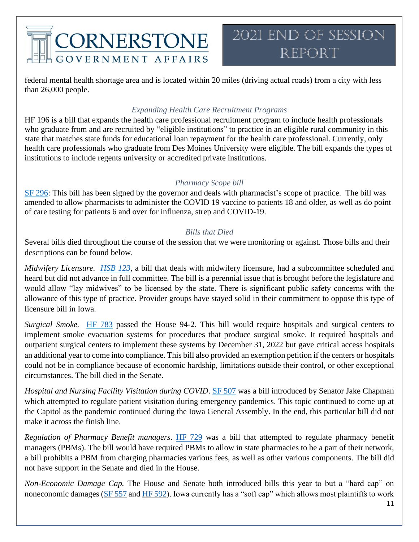

federal mental health shortage area and is located within 20 miles (driving actual roads) from a city with less than 26,000 people.

### *Expanding Health Care Recruitment Programs*

<span id="page-10-0"></span>HF 196 is a bill that expands the health care professional recruitment program to include health professionals who graduate from and are recruited by "eligible institutions" to practice in an eligible rural community in this state that matches state funds for educational loan repayment for the health care professional. Currently, only health care professionals who graduate from Des Moines University were eligible. The bill expands the types of institutions to include regents university or accredited private institutions.

### *Pharmacy Scope bill*

<span id="page-10-1"></span>[SF 296:](https://www.legis.iowa.gov/legislation/BillBook?ga=89&ba=SF%20296&v=i) This bill has been signed by the governor and deals with pharmacist's scope of practice. The bill was amended to allow pharmacists to administer the COVID 19 vaccine to patients 18 and older, as well as do point of care testing for patients 6 and over for influenza, strep and COVID-19.

### *Bills that Died*

<span id="page-10-2"></span>Several bills died throughout the course of the session that we were monitoring or against. Those bills and their descriptions can be found below.

*Midwifery Licensure. [HSB 123](https://www.legis.iowa.gov/legislation/BillBook?ga=89&ba=HSB123)*, a bill that deals with midwifery licensure, had a subcommittee scheduled and heard but did not advance in full committee. The bill is a perennial issue that is brought before the legislature and would allow "lay midwives" to be licensed by the state. There is significant public safety concerns with the allowance of this type of practice. Provider groups have stayed solid in their commitment to oppose this type of licensure bill in Iowa.

*Surgical Smoke.* [HF 783](https://www.legis.iowa.gov/legislation/BillBook?ga=89&ba=HF783) passed the House 94-2. This bill would require hospitals and surgical centers to implement smoke evacuation systems for procedures that produce surgical smoke. It required hospitals and outpatient surgical centers to implement these systems by December 31, 2022 but gave critical access hospitals an additional year to come into compliance. This bill also provided an exemption petition if the centers or hospitals could not be in compliance because of economic hardship, limitations outside their control, or other exceptional circumstances. The bill died in the Senate.

*Hospital and Nursing Facility Visitation during COVID*. [SF 507](https://www.legis.iowa.gov/legislation/BillBook?ga=89&ba=SF%20507) was a bill introduced by Senator Jake Chapman which attempted to regulate patient visitation during emergency pandemics. This topic continued to come up at the Capitol as the pandemic continued during the Iowa General Assembly. In the end, this particular bill did not make it across the finish line.

*Regulation of Pharmacy Benefit managers*. [HF 729](https://www.legis.iowa.gov/legislation/BillBook?ga=89&ba=hf729) was a bill that attempted to regulate pharmacy benefit managers (PBMs). The bill would have required PBMs to allow in state pharmacies to be a part of their network, a bill prohibits a PBM from charging pharmacies various fees, as well as other various components. The bill did not have support in the Senate and died in the House.

*Non-Economic Damage Cap.* The House and Senate both introduced bills this year to but a "hard cap" on noneconomic damages [\(SF 557](https://www.legis.iowa.gov/legislation/BillBook?ga=89&ba=SF%20557) and [HF 592\)](https://www.legis.iowa.gov/legislation/BillBook?ba=HF%20592&ga=89). Iowa currently has a "soft cap" which allows most plaintiffs to work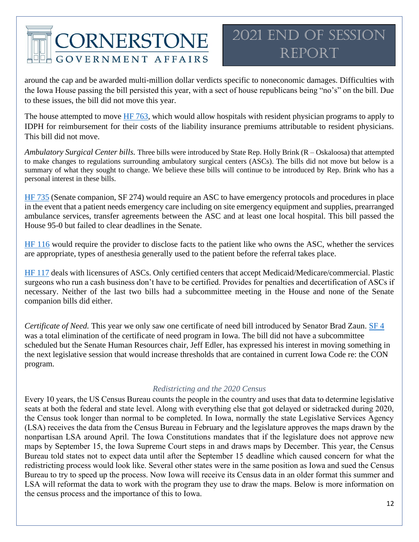## 2021 End of Session Report

around the cap and be awarded multi-million dollar verdicts specific to noneconomic damages. Difficulties with the Iowa House passing the bill persisted this year, with a sect of house republicans being "no's" on the bill. Due to these issues, the bill did not move this year.

The house attempted to move [HF 763,](https://www.legis.iowa.gov/legislation/BillBook?ga=89&ba=hf763) which would allow hospitals with resident physician programs to apply to IDPH for reimbursement for their costs of the liability insurance premiums attributable to resident physicians. This bill did not move.

*Ambulatory Surgical Center bills.* Three bills were introduced by State Rep. Holly Brink (R – Oskaloosa) that attempted to make changes to regulations surrounding ambulatory surgical centers (ASCs). The bills did not move but below is a summary of what they sought to change. We believe these bills will continue to be introduced by Rep. Brink who has a personal interest in these bills.

[HF 735](https://www.legis.iowa.gov/legislation/BillBook?ga=89&ba=HF%20735) (Senate companion, SF 274) would require an ASC to have emergency protocols and procedures in place in the event that a patient needs emergency care including on site emergency equipment and supplies, prearranged ambulance services, transfer agreements between the ASC and at least one local hospital. This bill passed the House 95-0 but failed to clear deadlines in the Senate.

[HF 116](https://www.legis.iowa.gov/legislation/BillBook?ga=89&ba=HF%20116) would require the provider to disclose facts to the patient like who owns the ASC, whether the services are appropriate, types of anesthesia generally used to the patient before the referral takes place.

[HF 117](https://www.legis.iowa.gov/legislation/BillBook?ga=89&ba=HF%20117) deals with licensures of ASCs. Only certified centers that accept Medicaid/Medicare/commercial. Plastic surgeons who run a cash business don't have to be certified. Provides for penalties and decertification of ASCs if necessary. Neither of the last two bills had a subcommittee meeting in the House and none of the Senate companion bills did either.

*Certificate of Need.* This year we only saw one certificate of need bill introduced by Senator Brad Zaun. [SF 4](https://www.legis.iowa.gov/legislation/BillBook?ga=89&ba=SF4) was a total elimination of the certificate of need program in Iowa. The bill did not have a subcommittee scheduled but the Senate Human Resources chair, Jeff Edler, has expressed his interest in moving something in the next legislative session that would increase thresholds that are contained in current Iowa Code re: the CON program.

### *Redistricting and the 2020 Census*

<span id="page-11-0"></span>Every 10 years, the US Census Bureau counts the people in the country and uses that data to determine legislative seats at both the federal and state level. Along with everything else that got delayed or sidetracked during 2020, the Census took longer than normal to be completed. In Iowa, normally the state Legislative Services Agency (LSA) receives the data from the Census Bureau in February and the legislature approves the maps drawn by the nonpartisan LSA around April. The Iowa Constitutions mandates that if the legislature does not approve new maps by September 15, the Iowa Supreme Court steps in and draws maps by December. This year, the Census Bureau told states not to expect data until after the September 15 deadline which caused concern for what the redistricting process would look like. Several other states were in the same position as Iowa and sued the Census Bureau to try to speed up the process. Now Iowa will receive its Census data in an older format this summer and LSA will reformat the data to work with the program they use to draw the maps. Below is more information on the census process and the importance of this to Iowa.